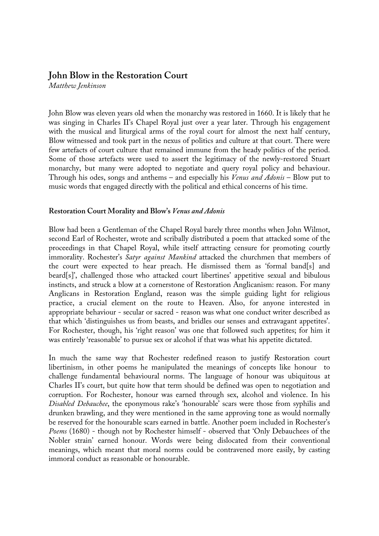## **John Blow in the Restoration Court**

*Matthew Jenkinson*

John Blow was eleven years old when the monarchy was restored in 1660. It is likely that he was singing in Charles II's Chapel Royal just over a year later. Through his engagement with the musical and liturgical arms of the royal court for almost the next half century, Blow witnessed and took part in the nexus of politics and culture at that court. There were few artefacts of court culture that remained immune from the heady politics of the period. Some of those artefacts were used to assert the legitimacy of the newly-restored Stuart monarchy, but many were adopted to negotiate and query royal policy and behaviour. Through his odes, songs and anthems – and especially his *Venus and Adonis* – Blow put to music words that engaged directly with the political and ethical concerns of his time.

## **Restoration Court Morality and Blow's** *Venus and Adonis*

Blow had been a Gentleman of the Chapel Royal barely three months when John Wilmot, second Earl of Rochester, wrote and scribally distributed a poem that attacked some of the proceedings in that Chapel Royal, while itself attracting censure for promoting courtly immorality. Rochester's *Satyr against Mankind* attacked the churchmen that members of the court were expected to hear preach. He dismissed them as 'formal band[s] and beard[s]', challenged those who attacked court libertines' appetitive sexual and bibulous instincts, and struck a blow at a cornerstone of Restoration Anglicanism: reason. For many Anglicans in Restoration England, reason was the simple guiding light for religious practice, a crucial element on the route to Heaven. Also, for anyone interested in appropriate behaviour - secular or sacred - reason was what one conduct writer described as that which 'distinguishes us from beasts, and bridles our senses and extravagant appetites'. For Rochester, though, his 'right reason' was one that followed such appetites; for him it was entirely 'reasonable' to pursue sex or alcohol if that was what his appetite dictated.

In much the same way that Rochester redefined reason to justify Restoration court libertinism, in other poems he manipulated the meanings of concepts like honour to challenge fundamental behavioural norms. The language of honour was ubiquitous at Charles II's court, but quite how that term should be defined was open to negotiation and corruption. For Rochester, honour was earned through sex, alcohol and violence. In his *Disabled Debauchee*, the eponymous rake's 'honourable' scars were those from syphilis and drunken brawling, and they were mentioned in the same approving tone as would normally be reserved for the honourable scars earned in battle. Another poem included in Rochester's *Poems* (1680) - though not by Rochester himself - observed that 'Only Debauchees of the Nobler strain' earned honour. Words were being dislocated from their conventional meanings, which meant that moral norms could be contravened more easily, by casting immoral conduct as reasonable or honourable.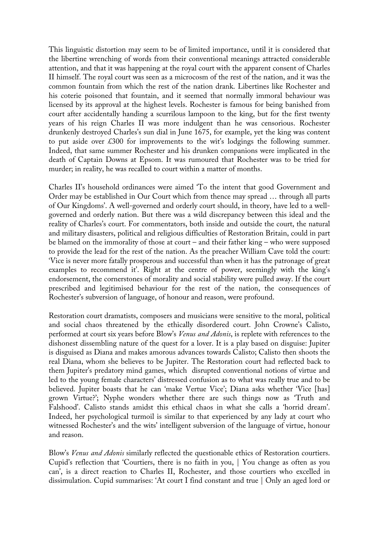This linguistic distortion may seem to be of limited importance, until it is considered that the libertine wrenching of words from their conventional meanings attracted considerable attention, and that it was happening at the royal court with the apparent consent of Charles II himself. The royal court was seen as a microcosm of the rest of the nation, and it was the common fountain from which the rest of the nation drank. Libertines like Rochester and his coterie poisoned that fountain, and it seemed that normally immoral behaviour was licensed by its approval at the highest levels. Rochester is famous for being banished from court after accidentally handing a scurrilous lampoon to the king, but for the first twenty years of his reign Charles II was more indulgent than he was censorious. Rochester drunkenly destroyed Charles's sun dial in June 1675, for example, yet the king was content to put aside over  $\text{\pounds}300$  for improvements to the wit's lodgings the following summer. Indeed, that same summer Rochester and his drunken companions were implicated in the death of Captain Downs at Epsom. It was rumoured that Rochester was to be tried for murder; in reality, he was recalled to court within a matter of months.

Charles II's household ordinances were aimed 'To the intent that good Government and Order may be established in Our Court which from thence may spread … through all parts of Our Kingdoms'. A well-governed and orderly court should, in theory, have led to a wellgoverned and orderly nation. But there was a wild discrepancy between this ideal and the reality of Charles's court. For commentators, both inside and outside the court, the natural and military disasters, political and religious difficulties of Restoration Britain, could in part be blamed on the immorality of those at court – and their father king – who were supposed to provide the lead for the rest of the nation. As the preacher William Cave told the court: 'Vice is never more fatally prosperous and successful than when it has the patronage of great examples to recommend it'. Right at the centre of power, seemingly with the king's endorsement, the cornerstones of morality and social stability were pulled away. If the court prescribed and legitimised behaviour for the rest of the nation, the consequences of Rochester's subversion of language, of honour and reason, were profound.

Restoration court dramatists, composers and musicians were sensitive to the moral, political and social chaos threatened by the ethically disordered court. John Crowne's Calisto, performed at court six years before Blow's *Venus and Adonis*, is replete with references to the dishonest dissembling nature of the quest for a lover. It is a play based on disguise: Jupiter is disguised as Diana and makes amorous advances towards Calisto; Calisto then shoots the real Diana, whom she believes to be Jupiter. The Restoration court had reflected back to them Jupiter's predatory mind games, which disrupted conventional notions of virtue and led to the young female characters' distressed confusion as to what was really true and to be believed. Jupiter boasts that he can 'make Vertue Vice'; Diana asks whether 'Vice [has] grown Virtue?'; Nyphe wonders whether there are such things now as 'Truth and Falshood'. Calisto stands amidst this ethical chaos in what she calls a 'horrid dream'. Indeed, her psychological turmoil is similar to that experienced by any lady at court who witnessed Rochester's and the wits' intelligent subversion of the language of virtue, honour and reason.

Blow's *Venus and Adonis* similarly reflected the questionable ethics of Restoration courtiers. Cupid's reflection that 'Courtiers, there is no faith in you, | You change as often as you can', is a direct reaction to Charles II, Rochester, and those courtiers who excelled in dissimulation. Cupid summarises: 'At court I find constant and true | Only an aged lord or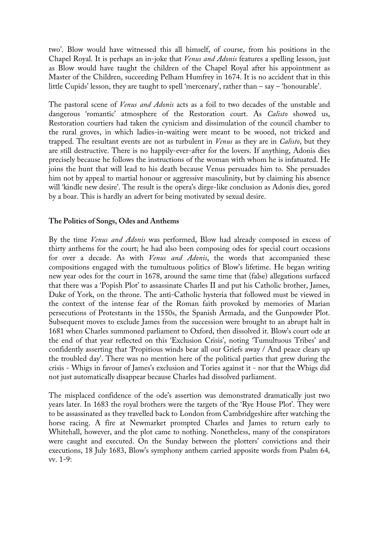two'. Blow would have witnessed this all himself, of course, from his positions in the Chapel Royal. It is perhaps an in-joke that *Venus and Adonis* features a spelling lesson, just as Blow would have taught the children of the Chapel Royal after his appointment as Master of the Children, succeeding Pelham Humfrey in 1674. It is no accident that in this little Cupids' lesson, they are taught to spell 'mercenary', rather than – say – 'honourable'.

The pastoral scene of *Venus and Adonis* acts as a foil to two decades of the unstable and dangerous 'romantic' atmosphere of the Restoration court. As *Calisto* showed us, Restoration courtiers had taken the cynicism and dissimulation of the council chamber to the rural groves, in which ladies-in-waiting were meant to be wooed, not tricked and trapped. The resultant events are not as turbulent in *Venus* as they are in *Calisto*, but they are still destructive. There is no happily-ever-after for the lovers. If anything, Adonis dies precisely because he follows the instructions of the woman with whom he is infatuated. He joins the hunt that will lead to his death because Venus persuades him to. She persuades him not by appeal to martial honour or aggressive masculinity, but by claiming his absence will 'kindle new desire'. The result is the opera's dirge-like conclusion as Adonis dies, gored by a boar. This is hardly an advert for being motivated by sexual desire.

## **The Politics of Songs, Odes and Anthems**

By the time *Venus and Adonis* was performed, Blow had already composed in excess of thirty anthems for the court; he had also been composing odes for special court occasions for over a decade. As with *Venus and Adonis*, the words that accompanied these compositions engaged with the tumultuous politics of Blow's lifetime. He began writing new year odes for the court in 1678, around the same time that (false) allegations surfaced that there was a 'Popish Plot' to assassinate Charles II and put his Catholic brother, James, Duke of York, on the throne. The anti-Catholic hysteria that followed must be viewed in the context of the intense fear of the Roman faith provoked by memories of Marian persecutions of Protestants in the 1550s, the Spanish Armada, and the Gunpowder Plot. Subsequent moves to exclude James from the succession were brought to an abrupt halt in 1681 when Charles summoned parliament to Oxford, then dissolved it. Blow's court ode at the end of that year reflected on this 'Exclusion Crisis', noting 'Tumultuous Tribes' and confidently asserting that 'Propitious winds bear all our Griefs away / And peace clears up the troubled day'. There was no mention here of the political parties that grew during the crisis - Whigs in favour of James's exclusion and Tories against it - nor that the Whigs did not just automatically disappear because Charles had dissolved parliament.

The misplaced confidence of the ode's assertion was demonstrated dramatically just two years later. In 1683 the royal brothers were the targets of the 'Rye House Plot'. They were to be assassinated as they travelled back to London from Cambridgeshire after watching the horse racing. A fire at Newmarket prompted Charles and James to return early to Whitehall, however, and the plot came to nothing. Nonetheless, many of the conspirators were caught and executed. On the Sunday between the plotters' convictions and their executions, 18 July 1683, Blow's symphony anthem carried apposite words from Psalm 64, vv. 1-9: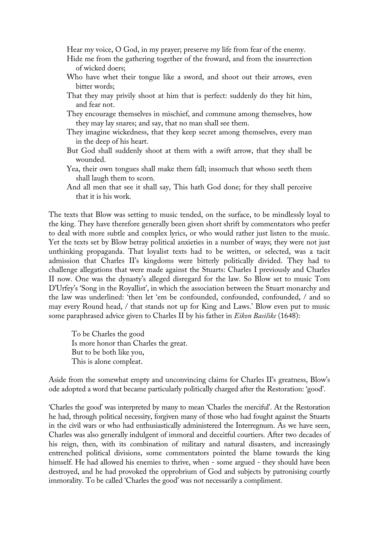Hear my voice, O God, in my prayer; preserve my life from fear of the enemy.

- Hide me from the gathering together of the froward, and from the insurrection of wicked doers;
- Who have whet their tongue like a sword, and shoot out their arrows, even bitter words;
- That they may privily shoot at him that is perfect: suddenly do they hit him, and fear not.
- They encourage themselves in mischief, and commune among themselves, how they may lay snares; and say, that no man shall see them.
- They imagine wickedness, that they keep secret among themselves, every man in the deep of his heart.
- But God shall suddenly shoot at them with a swift arrow, that they shall be wounded.
- Yea, their own tongues shall make them fall; insomuch that whoso seeth them shall laugh them to scorn.
- And all men that see it shall say, This hath God done; for they shall perceive that it is his work.

The texts that Blow was setting to music tended, on the surface, to be mindlessly loyal to the king. They have therefore generally been given short shrift by commentators who prefer to deal with more subtle and complex lyrics, or who would rather just listen to the music. Yet the texts set by Blow betray political anxieties in a number of ways; they were not just unthinking propaganda. That loyalist texts had to be written, or selected, was a tacit admission that Charles II's kingdoms were bitterly politically divided. They had to challenge allegations that were made against the Stuarts: Charles I previously and Charles II now. One was the dynasty's alleged disregard for the law. So Blow set to music Tom D'Urfey's 'Song in the Royallist', in which the association between the Stuart monarchy and the law was underlined: 'then let 'em be confounded, confounded, confounded, / and so may every Round head, / that stands not up for King and Laws.' Blow even put to music some paraphrased advice given to Charles II by his father in *Eikon Basilike* (1648):

To be Charles the good Is more honor than Charles the great. But to be both like you, This is alone compleat.

Aside from the somewhat empty and unconvincing claims for Charles II's greatness, Blow's ode adopted a word that became particularly politically charged after the Restoration: 'good'.

'Charles the good' was interpreted by many to mean 'Charles the merciful'. At the Restoration he had, through political necessity, forgiven many of those who had fought against the Stuarts in the civil wars or who had enthusiastically administered the Interregnum. As we have seen, Charles was also generally indulgent of immoral and deceitful courtiers. After two decades of his reign, then, with its combination of military and natural disasters, and increasingly entrenched political divisions, some commentators pointed the blame towards the king himself. He had allowed his enemies to thrive, when - some argued - they should have been destroyed, and he had provoked the opprobrium of God and subjects by patronising courtly immorality. To be called 'Charles the good' was not necessarily a compliment.